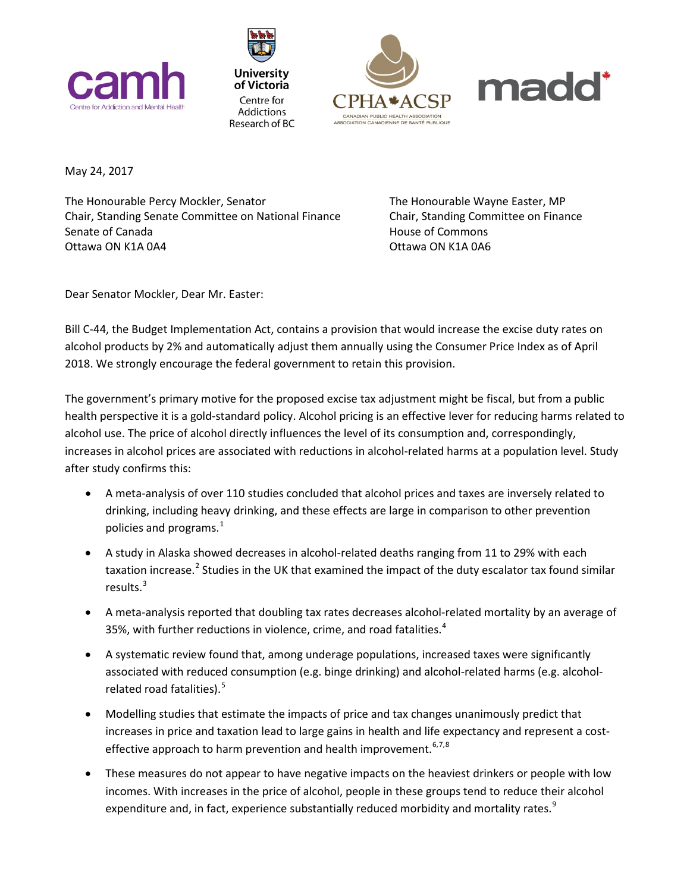







May 24, 2017

The Honourable Percy Mockler, Senator The Honourable Wayne Easter, MP Chair, Standing Senate Committee on National Finance Chair, Standing Committee on Finance Senate of Canada **House of Commons** Ottawa ON K1A 0A4 Ottawa ON K1A 0A6

Dear Senator Mockler, Dear Mr. Easter:

Bill C-44, the Budget Implementation Act, contains a provision that would increase the excise duty rates on alcohol products by 2% and automatically adjust them annually using the Consumer Price Index as of April 2018. We strongly encourage the federal government to retain this provision.

The government's primary motive for the proposed excise tax adjustment might be fiscal, but from a public health perspective it is a gold-standard policy. Alcohol pricing is an effective lever for reducing harms related to alcohol use. The price of alcohol directly influences the level of its consumption and, correspondingly, increases in alcohol prices are associated with reductions in alcohol-related harms at a population level. Study after study confirms this:

- A meta-analysis of over 110 studies concluded that alcohol prices and taxes are inversely related to drinking, including heavy drinking, and these effects are large in comparison to other prevention policies and programs.<sup>[1](#page-2-0)</sup>
- A study in Alaska showed decreases in alcohol-related deaths ranging from 11 to 29% with each taxation increase.<sup>[2](#page-2-1)</sup> Studies in the UK that examined the impact of the duty escalator tax found similar results.[3](#page-2-2)
- A meta-analysis reported that doubling tax rates decreases alcohol-related mortality by an average of 35%, with further reductions in violence, crime, and road fatalities. $4$
- A systematic review found that, among underage populations, increased taxes were signifıcantly associated with reduced consumption (e.g. binge drinking) and alcohol-related harms (e.g. alcohol-related road fatalities).<sup>[5](#page-2-4)</sup>
- Modelling studies that estimate the impacts of price and tax changes unanimously predict that increases in price and taxation lead to large gains in health and life expectancy and represent a cost-effective approach to harm prevention and health improvement.<sup>[6](#page-2-5),[7](#page-2-6),[8](#page-2-7)</sup>
- These measures do not appear to have negative impacts on the heaviest drinkers or people with low incomes. With increases in the price of alcohol, people in these groups tend to reduce their alcohol expenditure and, in fact, experience substantially reduced morbidity and mortality rates.<sup>[9](#page-2-8)</sup>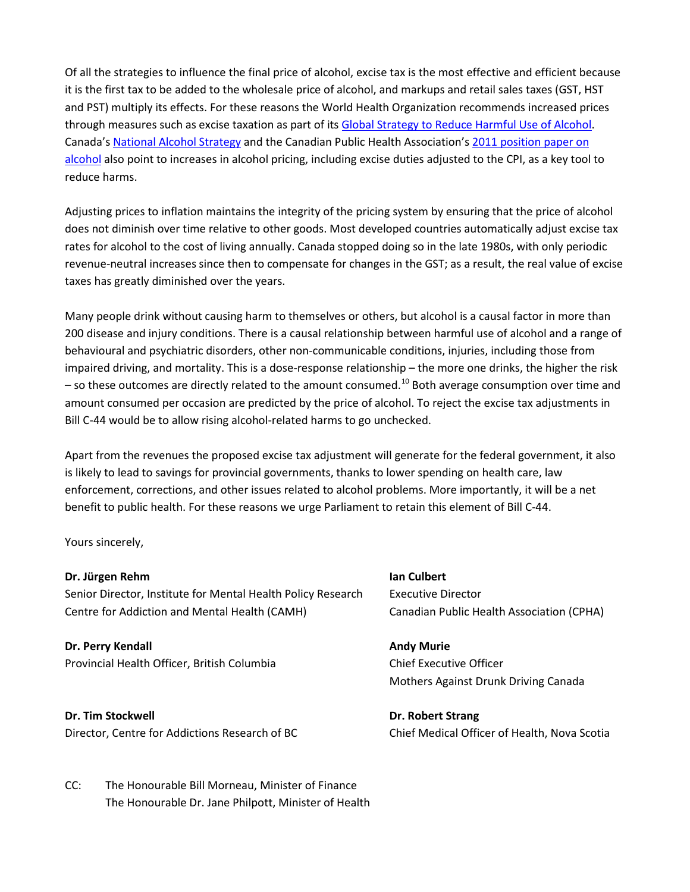Of all the strategies to influence the final price of alcohol, excise tax is the most effective and efficient because it is the first tax to be added to the wholesale price of alcohol, and markups and retail sales taxes (GST, HST and PST) multiply its effects. For these reasons the World Health Organization recommends increased prices through measures such as excise taxation as part of its [Global Strategy to Reduce Harmful Use of Alcohol.](http://www.who.int/substance_abuse/activities/gsrhua/en/) Canada's [National Alcohol Strategy](http://www.cclt.ca/Eng/collaboration/National-Alcohol-Strategy-Partnerships/Pages/National-Alcohol-Strategy-Advisory-Committee.aspx) and the Canadian Public Health Association's [2011 position paper on](http://www.cpha.ca/uploads/positions/position-paper-alcohol_e.pdf)  [alcohol](http://www.cpha.ca/uploads/positions/position-paper-alcohol_e.pdf) also point to increases in alcohol pricing, including excise duties adjusted to the CPI, as a key tool to reduce harms.

Adjusting prices to inflation maintains the integrity of the pricing system by ensuring that the price of alcohol does not diminish over time relative to other goods. Most developed countries automatically adjust excise tax rates for alcohol to the cost of living annually. Canada stopped doing so in the late 1980s, with only periodic revenue-neutral increases since then to compensate for changes in the GST; as a result, the real value of excise taxes has greatly diminished over the years.

Many people drink without causing harm to themselves or others, but alcohol is a causal factor in more than 200 disease and injury conditions. There is a causal relationship between harmful use of alcohol and a range of behavioural and psychiatric disorders, other non-communicable conditions, injuries, including those from impaired driving, and mortality. This is a dose-response relationship – the more one drinks, the higher the risk - so these outcomes are directly related to the amount consumed.<sup>[10](#page-2-9)</sup> Both average consumption over time and amount consumed per occasion are predicted by the price of alcohol. To reject the excise tax adjustments in Bill C-44 would be to allow rising alcohol-related harms to go unchecked.

Apart from the revenues the proposed excise tax adjustment will generate for the federal government, it also is likely to lead to savings for provincial governments, thanks to lower spending on health care, law enforcement, corrections, and other issues related to alcohol problems. More importantly, it will be a net benefit to public health. For these reasons we urge Parliament to retain this element of Bill C-44.

Yours sincerely,

## **Dr. Jürgen Rehm Ian Culbert**

Senior Director, Institute for Mental Health Policy Research Executive Director Centre for Addiction and Mental Health (CAMH) Canadian Public Health Association (CPHA)

## **Dr. Perry Kendall Andy Murie Andy Murie Andy Murie**

Provincial Health Officer, British Columbia Chief Executive Officer

## **Dr. Tim Stockwell Dr. Robert Strang**

Director, Centre for Addictions Research of BC Chief Medical Officer of Health, Nova Scotia

Mothers Against Drunk Driving Canada

CC: The Honourable Bill Morneau, Minister of Finance The Honourable Dr. Jane Philpott, Minister of Health